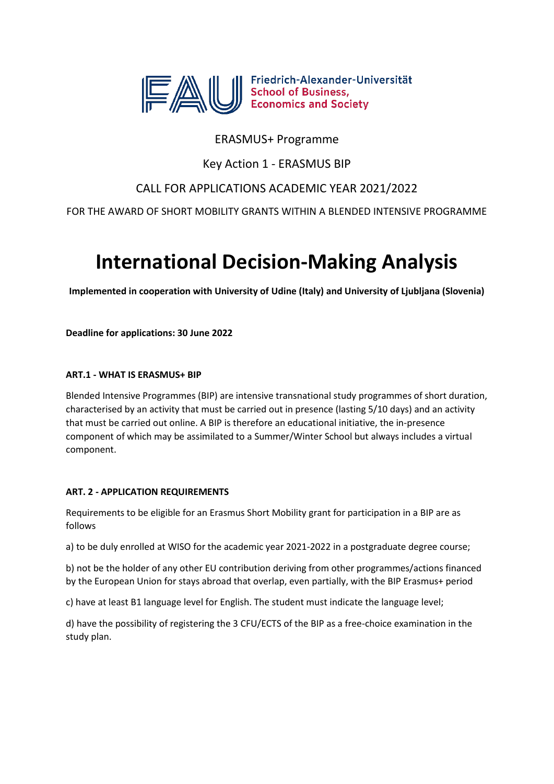

Friedrich-Alexander-Universität Friedrich-Alexander-Un<br>School of Business,<br>Economics and Society

# ERASMUS+ Programme

Key Action 1 - ERASMUS BIP

# CALL FOR APPLICATIONS ACADEMIC YEAR 2021/2022

FOR THE AWARD OF SHORT MOBILITY GRANTS WITHIN A BLENDED INTENSIVE PROGRAMME

# **International Decision-Making Analysis**

**Implemented in cooperation with University of Udine (Italy) and University of Ljubljana (Slovenia)**

**Deadline for applications: 30 June 2022**

## **ART.1 - WHAT IS ERASMUS+ BIP**

Blended Intensive Programmes (BIP) are intensive transnational study programmes of short duration, characterised by an activity that must be carried out in presence (lasting 5/10 days) and an activity that must be carried out online. A BIP is therefore an educational initiative, the in-presence component of which may be assimilated to a Summer/Winter School but always includes a virtual component.

## **ART. 2 - APPLICATION REQUIREMENTS**

Requirements to be eligible for an Erasmus Short Mobility grant for participation in a BIP are as follows

a) to be duly enrolled at WISO for the academic year 2021-2022 in a postgraduate degree course;

b) not be the holder of any other EU contribution deriving from other programmes/actions financed by the European Union for stays abroad that overlap, even partially, with the BIP Erasmus+ period

c) have at least B1 language level for English. The student must indicate the language level;

d) have the possibility of registering the 3 CFU/ECTS of the BIP as a free-choice examination in the study plan.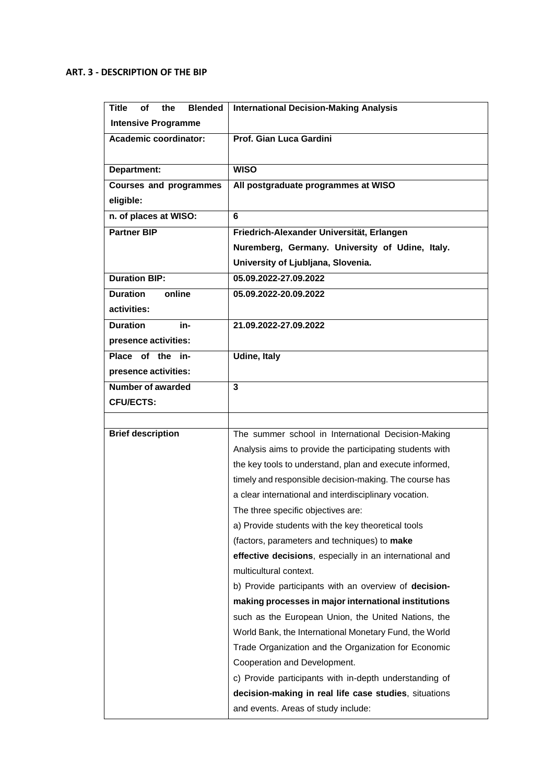### **ART. 3 - DESCRIPTION OF THE BIP**

| <b>Blended</b><br>Title<br>οf<br>the | <b>International Decision-Making Analysis</b>            |
|--------------------------------------|----------------------------------------------------------|
| <b>Intensive Programme</b>           |                                                          |
| Academic coordinator:                | Prof. Gian Luca Gardini                                  |
|                                      |                                                          |
| Department:                          | <b>WISO</b>                                              |
| <b>Courses and programmes</b>        | All postgraduate programmes at WISO                      |
| eligible:                            |                                                          |
| n. of places at WISO:                | 6                                                        |
| <b>Partner BIP</b>                   | Friedrich-Alexander Universität, Erlangen                |
|                                      | Nuremberg, Germany. University of Udine, Italy.          |
|                                      | University of Ljubljana, Slovenia.                       |
| <b>Duration BIP:</b>                 | 05.09.2022-27.09.2022                                    |
| <b>Duration</b><br>online            | 05.09.2022-20.09.2022                                    |
| activities:                          |                                                          |
| <b>Duration</b><br>in-               | 21.09.2022-27.09.2022                                    |
| presence activities:                 |                                                          |
| Place of the in-                     | <b>Udine, Italy</b>                                      |
| presence activities:                 |                                                          |
| <b>Number of awarded</b>             | $\mathbf{3}$                                             |
| <b>CFU/ECTS:</b>                     |                                                          |
|                                      |                                                          |
| <b>Brief description</b>             | The summer school in International Decision-Making       |
|                                      | Analysis aims to provide the participating students with |
|                                      | the key tools to understand, plan and execute informed,  |
|                                      | timely and responsible decision-making. The course has   |
|                                      | a clear international and interdisciplinary vocation.    |
|                                      | The three specific objectives are:                       |
|                                      | a) Provide students with the key theoretical tools       |
|                                      | (factors, parameters and techniques) to make             |
|                                      | effective decisions, especially in an international and  |
|                                      | multicultural context.                                   |
|                                      | b) Provide participants with an overview of decision-    |
|                                      | making processes in major international institutions     |
|                                      | such as the European Union, the United Nations, the      |
|                                      | World Bank, the International Monetary Fund, the World   |
|                                      | Trade Organization and the Organization for Economic     |
|                                      | Cooperation and Development.                             |
|                                      | c) Provide participants with in-depth understanding of   |
|                                      | decision-making in real life case studies, situations    |
|                                      | and events. Areas of study include:                      |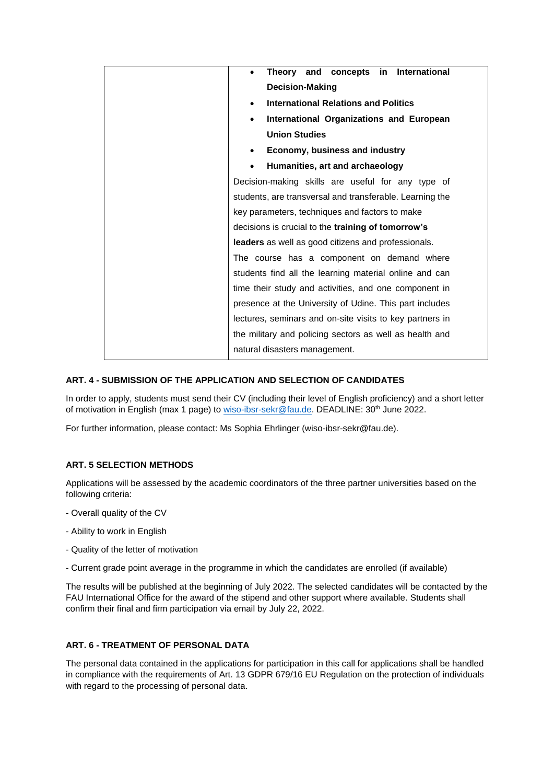| in International<br>Theory and concepts                   |
|-----------------------------------------------------------|
| <b>Decision-Making</b>                                    |
| <b>International Relations and Politics</b>               |
| International Organizations and European                  |
| <b>Union Studies</b>                                      |
| Economy, business and industry                            |
| Humanities, art and archaeology                           |
| Decision-making skills are useful for any type of         |
| students, are transversal and transferable. Learning the  |
| key parameters, techniques and factors to make            |
| decisions is crucial to the <b>training of tomorrow's</b> |
| leaders as well as good citizens and professionals.       |
| The course has a component on demand where                |
| students find all the learning material online and can    |
| time their study and activities, and one component in     |
| presence at the University of Udine. This part includes   |
| lectures, seminars and on-site visits to key partners in  |
| the military and policing sectors as well as health and   |
| natural disasters management.                             |

#### **ART. 4 - SUBMISSION OF THE APPLICATION AND SELECTION OF CANDIDATES**

In order to apply, students must send their CV (including their level of English proficiency) and a short letter of motivation in English (max 1 page) to [wiso-ibsr-sekr@fau.de.](mailto:wiso-ibsr-sekr@fau.de) DEADLINE: 30<sup>th</sup> June 2022.

For further information, please contact: Ms Sophia Ehrlinger (wiso-ibsr-sekr@fau.de).

#### **ART. 5 SELECTION METHODS**

Applications will be assessed by the academic coordinators of the three partner universities based on the following criteria:

- Overall quality of the CV
- Ability to work in English
- Quality of the letter of motivation
- Current grade point average in the programme in which the candidates are enrolled (if available)

The results will be published at the beginning of July 2022. The selected candidates will be contacted by the FAU International Office for the award of the stipend and other support where available. Students shall confirm their final and firm participation via email by July 22, 2022.

#### **ART. 6 - TREATMENT OF PERSONAL DATA**

The personal data contained in the applications for participation in this call for applications shall be handled in compliance with the requirements of Art. 13 GDPR 679/16 EU Regulation on the protection of individuals with regard to the processing of personal data.